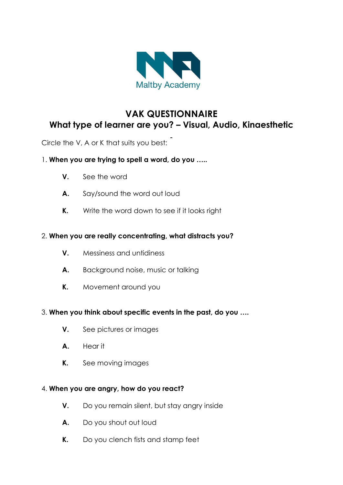

# **VAK QUESTIONNAIRE What type of learner are you? – Visual, Audio, Kinaesthetic**

Circle the V, A or K that suits you best:

- 1. **When you are trying to spell a word, do you …..**
	- **V.** See the word
	- **A.** Say/sound the word out loud
	- **K.** Write the word down to see if it looks right

## 2. **When you are really concentrating, what distracts you?**

- **V.** Messiness and untidiness
- **A.** Background noise, music or talking
- **K.** Movement around you

### 3. **When you think about specific events in the past, do you ….**

- **V.** See pictures or images
- **A.** Hear it
- **K.** See moving images

### 4. **When you are angry, how do you react?**

- **V.** Do you remain silent, but stay angry inside
- **A.** Do you shout out loud
- **K.** Do you clench fists and stamp feet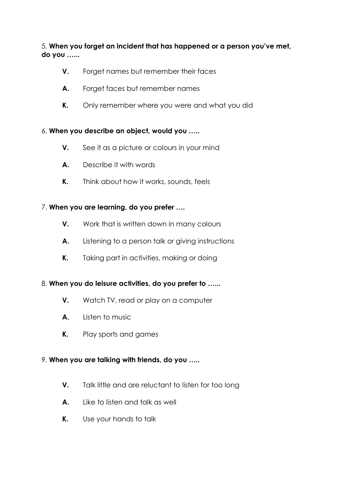5. **When you forget an incident that has happened or a person you've met, do you …...**

- **V.** Forget names but remember their faces
- **A.** Forget faces but remember names
- **K.** Only remember where you were and what you did

### 6. **When you describe an object, would you …..**

- **V.** See it as a picture or colours in your mind
- **A.** Describe it with words
- **K.** Think about how it works, sounds, feels

### 7. **When you are learning, do you prefer ….**

- **V.** Work that is written down in many colours
- **A.** Listening to a person talk or giving instructions
- **K.** Taking part in activities, making or doing

### 8. **When you do leisure activities, do you prefer to …...**

- **V.** Watch TV, read or play on a computer
- **A.** Listen to music
- **K.** Play sports and games

### 9. **When you are talking with friends, do you …..**

- **V.** Talk little and are reluctant to listen for too long
- **A.** Like to listen and talk as well
- **K.** Use your hands to talk